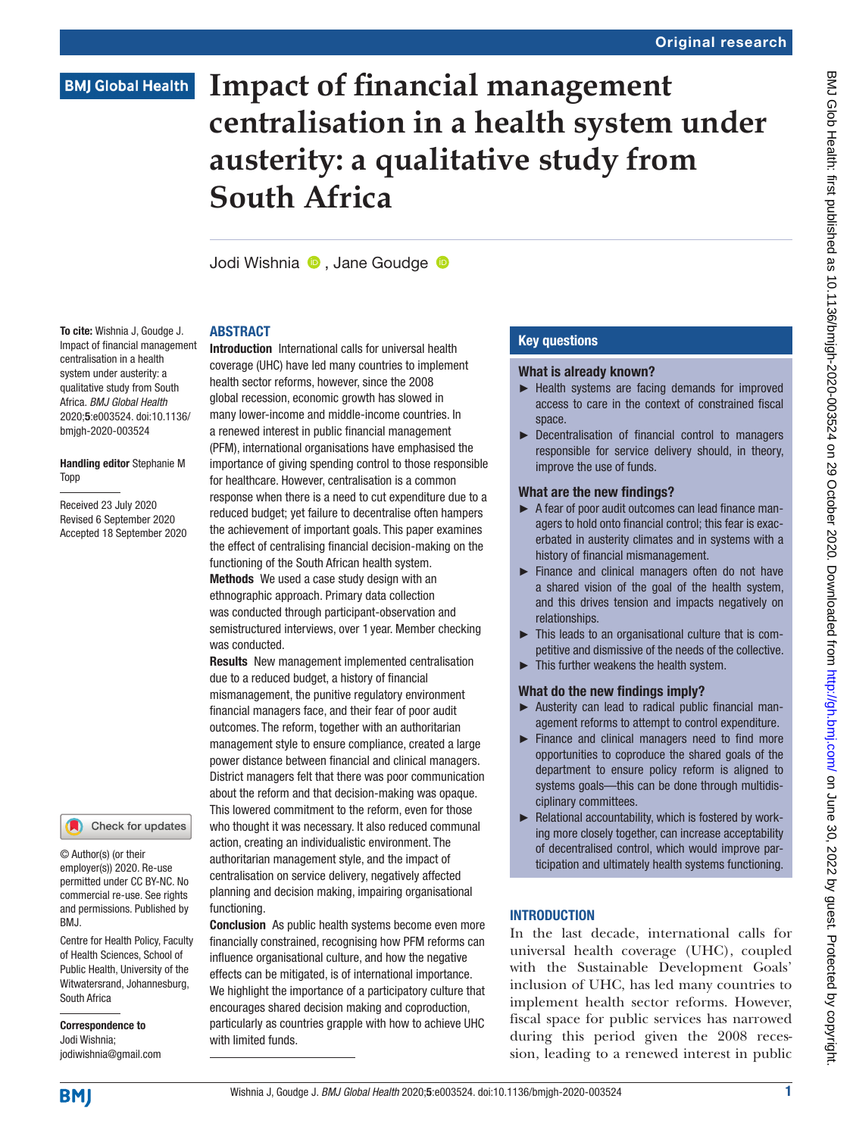# **BMJ Global Health**

# **Impact of financial management centralisation in a health system under austerity: a qualitative study from South Africa**

JodiWishnia **D**, Jane Goudge **D** 

## ABSTRACT

To cite: Wishnia J, Goudge J. Impact of financial management centralisation in a health system under austerity: a qualitative study from South Africa. *BMJ Global Health* 2020;5:e003524. doi:10.1136/ bmjgh-2020-003524

#### Handling editor Stephanie M Topp

Received 23 July 2020 Revised 6 September 2020 Accepted 18 September 2020

#### Check for updates

© Author(s) (or their employer(s)) 2020. Re-use permitted under CC BY-NC. No commercial re-use. See rights and permissions. Published by BMJ.

Centre for Health Policy, Faculty of Health Sciences, School of Public Health, University of the Witwatersrand, Johannesburg, South Africa

Correspondence to Jodi Wishnia; jodiwishnia@gmail.com Introduction International calls for universal health coverage (UHC) have led many countries to implement health sector reforms, however, since the 2008 global recession, economic growth has slowed in many lower-income and middle-income countries. In a renewed interest in public financial management (PFM), international organisations have emphasised the importance of giving spending control to those responsible for healthcare. However, centralisation is a common response when there is a need to cut expenditure due to a reduced budget; yet failure to decentralise often hampers the achievement of important goals. This paper examines the effect of centralising financial decision-making on the functioning of the South African health system. Methods We used a case study design with an

ethnographic approach. Primary data collection was conducted through participant-observation and semistructured interviews, over 1 year. Member checking was conducted.

Results New management implemented centralisation due to a reduced budget, a history of financial mismanagement, the punitive regulatory environment financial managers face, and their fear of poor audit outcomes. The reform, together with an authoritarian management style to ensure compliance, created a large power distance between financial and clinical managers. District managers felt that there was poor communication about the reform and that decision-making was opaque. This lowered commitment to the reform, even for those who thought it was necessary. It also reduced communal action, creating an individualistic environment. The authoritarian management style, and the impact of centralisation on service delivery, negatively affected planning and decision making, impairing organisational functioning.

Conclusion As public health systems become even more financially constrained, recognising how PFM reforms can influence organisational culture, and how the negative effects can be mitigated, is of international importance. We highlight the importance of a participatory culture that encourages shared decision making and coproduction, particularly as countries grapple with how to achieve UHC with limited funds.

## Key questions

#### What is already known?

- ► Health systems are facing demands for improved access to care in the context of constrained fiscal space.
- ► Decentralisation of financial control to managers responsible for service delivery should, in theory, improve the use of funds.

#### What are the new findings?

- ► A fear of poor audit outcomes can lead finance managers to hold onto financial control; this fear is exacerbated in austerity climates and in systems with a history of financial mismanagement.
- ► Finance and clinical managers often do not have a shared vision of the goal of the health system, and this drives tension and impacts negatively on relationships.
- ► This leads to an organisational culture that is competitive and dismissive of the needs of the collective.
- This further weakens the health system.

#### What do the new findings imply?

- ► Austerity can lead to radical public financial management reforms to attempt to control expenditure.
- ► Finance and clinical managers need to find more opportunities to coproduce the shared goals of the department to ensure policy reform is aligned to systems goals—this can be done through multidisciplinary committees.
- ► Relational accountability, which is fostered by working more closely together, can increase acceptability of decentralised control, which would improve participation and ultimately health systems functioning.

## **INTRODUCTION**

In the last decade, international calls for universal health coverage (UHC), coupled with the Sustainable Development Goals' inclusion of UHC, has led many countries to implement health sector reforms. However, fiscal space for public services has narrowed during this period given the 2008 recession, leading to a renewed interest in public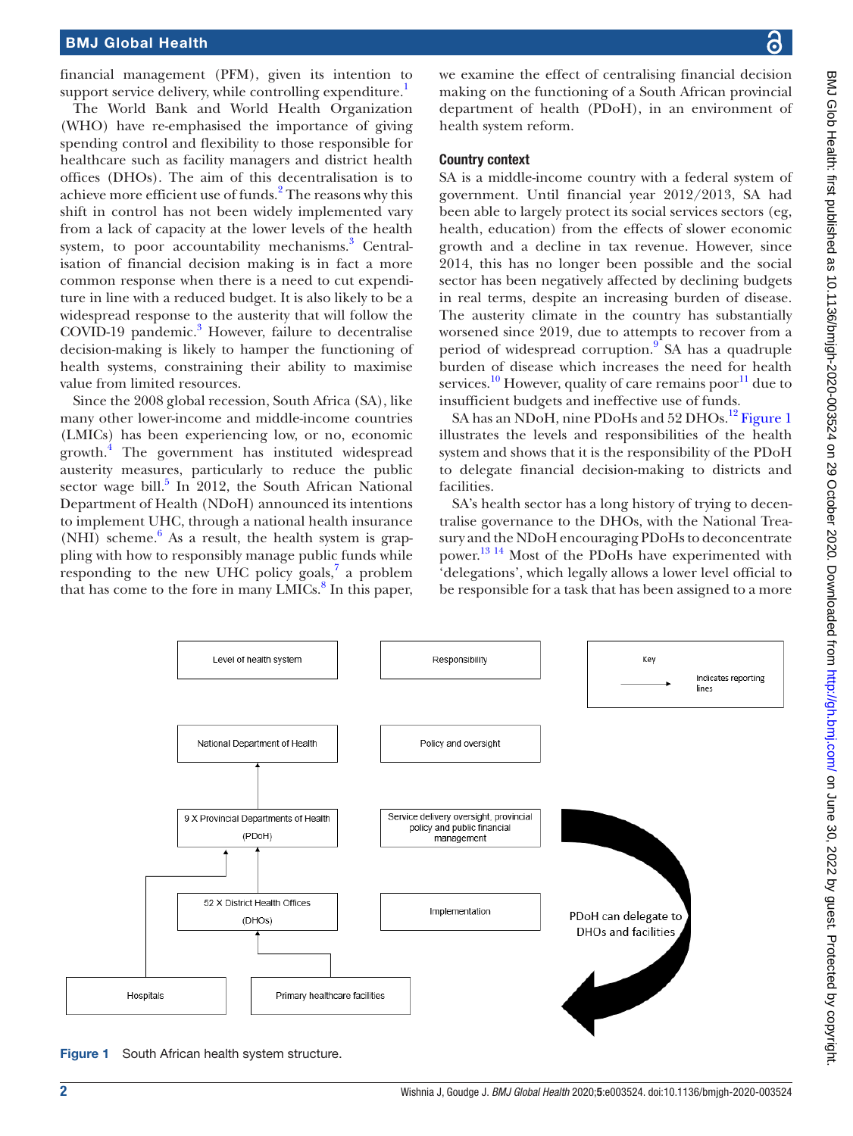financial management (PFM), given its intention to support service delivery, while controlling expenditure.<sup>[1](#page-8-0)</sup>

The World Bank and World Health Organization (WHO) have re-emphasised the importance of giving spending control and flexibility to those responsible for healthcare such as facility managers and district health offices (DHOs). The aim of this decentralisation is to achieve more efficient use of funds. $^2$  The reasons why this shift in control has not been widely implemented vary from a lack of capacity at the lower levels of the health system, to poor accountability mechanisms.<sup>[3](#page-8-2)</sup> Centralisation of financial decision making is in fact a more common response when there is a need to cut expenditure in line with a reduced budget. It is also likely to be a widespread response to the austerity that will follow the COVID-19 pandemic.<sup>[3](#page-8-2)</sup> However, failure to decentralise decision-making is likely to hamper the functioning of health systems, constraining their ability to maximise value from limited resources.

Since the 2008 global recession, South Africa (SA), like many other lower-income and middle-income countries (LMICs) has been experiencing low, or no, economic growth[.4](#page-8-3) The government has instituted widespread austerity measures, particularly to reduce the public sector wage bill.<sup>[5](#page-8-4)</sup> In 2012, the South African National Department of Health (NDoH) announced its intentions to implement UHC, through a national health insurance  $(NHI)$  scheme.<sup>[6](#page-8-5)</sup> As a result, the health system is grappling with how to responsibly manage public funds while responding to the new UHC policy goals, $7$  a problem that has come to the fore in many LMICs.<sup>[8](#page-8-7)</sup> In this paper, BMJ Glob Health: first published as 10.1136/bmjgh-2020-003524 on 29 October 2020. Downloaded from http://gh.bmj.com/ on June 30, 2022 by guest. Protected by copyrigh BMJ Glob Health: first published as 10.1136/bmjgh-2020-003524 on 29 October 2020. Downloaded from <http://gh.bmj.com/> on June 30, 2022 by guest. Protected by copyright

we examine the effect of centralising financial decision making on the functioning of a South African provincial department of health (PDoH), in an environment of health system reform.

#### Country context

SA is a middle-income country with a federal system of government. Until financial year 2012/2013, SA had been able to largely protect its social services sectors (eg, health, education) from the effects of slower economic growth and a decline in tax revenue. However, since 2014, this has no longer been possible and the social sector has been negatively affected by declining budgets in real terms, despite an increasing burden of disease. The austerity climate in the country has substantially worsened since 2019, due to attempts to recover from a period of widespread corruption.<sup>9</sup> SA has a quadruple burden of disease which increases the need for health services.<sup>[10](#page-8-9)</sup> However, quality of care remains poor<sup>11</sup> due to insufficient budgets and ineffective use of funds.

SA has an NDoH, nine PDoHs and 52 DHOs.<sup>[12](#page-8-11)</sup> [Figure](#page-1-0) 1 illustrates the levels and responsibilities of the health system and shows that it is the responsibility of the PDoH to delegate financial decision-making to districts and facilities.

SA's health sector has a long history of trying to decentralise governance to the DHOs, with the National Treasury and the NDoH encouraging PDoHs to deconcentrate power.<sup>13 14</sup> Most of the PDoHs have experimented with 'delegations', which legally allows a lower level official to be responsible for a task that has been assigned to a more



<span id="page-1-0"></span>Figure 1 South African health system structure.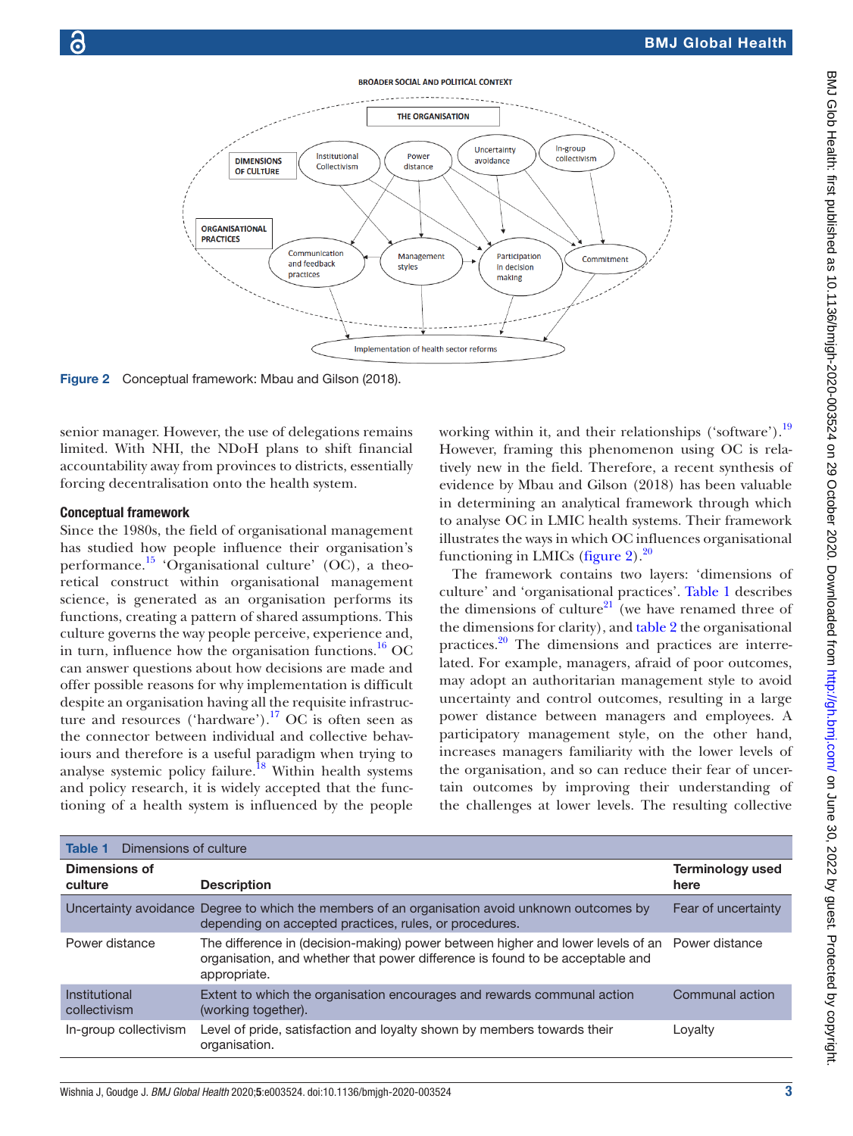#### **BROADER SOCIAL AND POLITICAL CONTEXT**



<span id="page-2-0"></span>Figure 2 Conceptual framework: Mbau and Gilson (2018).

senior manager. However, the use of delegations remains limited. With NHI, the NDoH plans to shift financial accountability away from provinces to districts, essentially forcing decentralisation onto the health system.

#### Conceptual framework

Since the 1980s, the field of organisational management has studied how people influence their organisation's performance.<sup>15</sup> 'Organisational culture' (OC), a theoretical construct within organisational management science, is generated as an organisation performs its functions, creating a pattern of shared assumptions. This culture governs the way people perceive, experience and, in turn, influence how the organisation functions.<sup>16</sup> OC can answer questions about how decisions are made and offer possible reasons for why implementation is difficult despite an organisation having all the requisite infrastructure and resources ('hardware').<sup>17</sup> OC is often seen as the connector between individual and collective behaviours and therefore is a useful paradigm when trying to analyse systemic policy failure.<sup>18</sup> Within health systems and policy research, it is widely accepted that the functioning of a health system is influenced by the people

working within it, and their relationships ('software').<sup>19</sup> However, framing this phenomenon using OC is relatively new in the field. Therefore, a recent synthesis of evidence by Mbau and Gilson (2018) has been valuable in determining an analytical framework through which to analyse OC in LMIC health systems. Their framework illustrates the ways in which OC influences organisational functioning in LMICs [\(figure](#page-2-0)  $2)^{20}$  $2)^{20}$  $2)^{20}$ 

The framework contains two layers: 'dimensions of culture' and 'organisational practices'. [Table](#page-2-1) 1 describes the dimensions of culture<sup>[21](#page-8-19)</sup> (we have renamed three of the dimensions for clarity), and [table](#page-3-0) 2 the organisational practices.[20](#page-8-18) The dimensions and practices are interrelated. For example, managers, afraid of poor outcomes, may adopt an authoritarian management style to avoid uncertainty and control outcomes, resulting in a large power distance between managers and employees. A participatory management style, on the other hand, increases managers familiarity with the lower levels of the organisation, and so can reduce their fear of uncertain outcomes by improving their understanding of the challenges at lower levels. The resulting collective

<span id="page-2-1"></span>

| Dimensions of culture<br>Table 1 |                                                                                                                                                                                                 |                                 |  |  |  |  |  |  |
|----------------------------------|-------------------------------------------------------------------------------------------------------------------------------------------------------------------------------------------------|---------------------------------|--|--|--|--|--|--|
| <b>Dimensions of</b><br>culture  | <b>Description</b>                                                                                                                                                                              | <b>Terminology used</b><br>here |  |  |  |  |  |  |
|                                  | Uncertainty avoidance Degree to which the members of an organisation avoid unknown outcomes by<br>depending on accepted practices, rules, or procedures.                                        | Fear of uncertainty             |  |  |  |  |  |  |
| Power distance                   | The difference in (decision-making) power between higher and lower levels of an Power distance<br>organisation, and whether that power difference is found to be acceptable and<br>appropriate. |                                 |  |  |  |  |  |  |
| Institutional<br>collectivism    | Extent to which the organisation encourages and rewards communal action<br>(working together).                                                                                                  | Communal action                 |  |  |  |  |  |  |
| In-group collectivism            | Level of pride, satisfaction and loyalty shown by members towards their<br>organisation.                                                                                                        | Loyalty                         |  |  |  |  |  |  |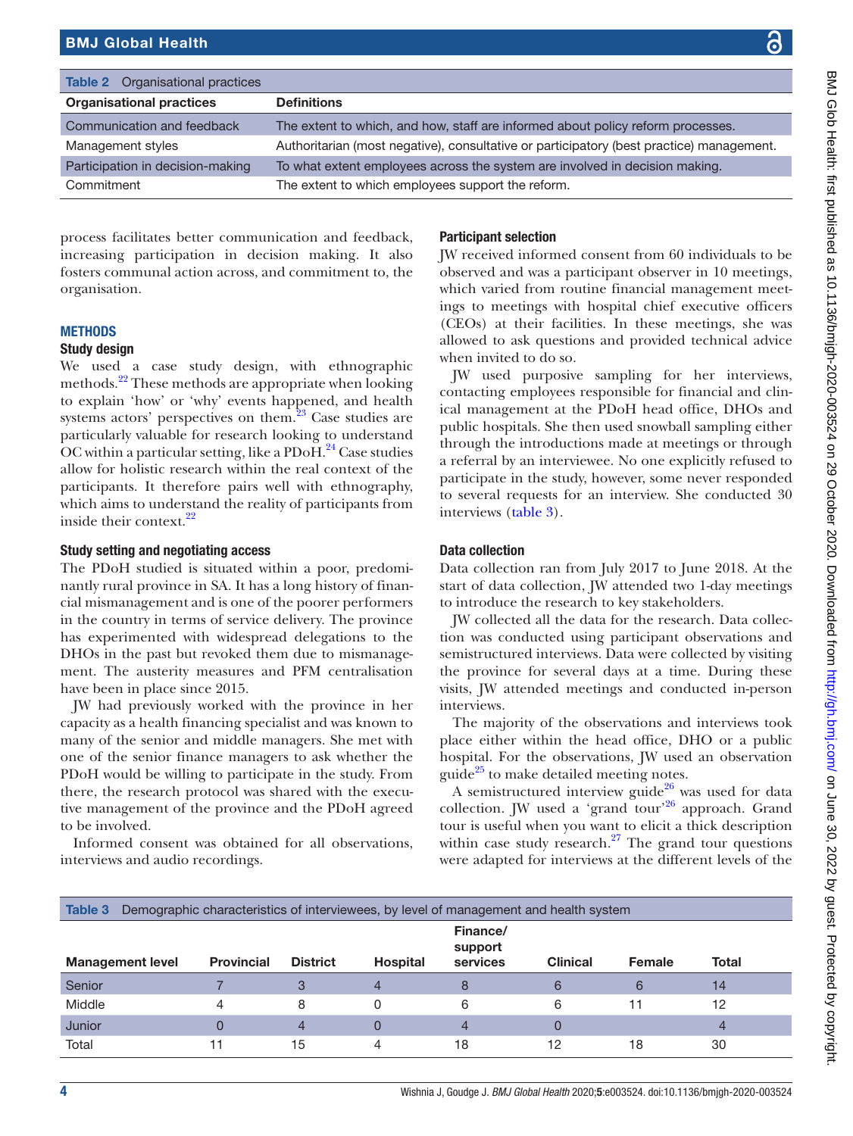<span id="page-3-0"></span>

| <b>Table 2</b> Organisational practices |                                                                                          |  |  |  |  |
|-----------------------------------------|------------------------------------------------------------------------------------------|--|--|--|--|
| <b>Organisational practices</b>         | <b>Definitions</b>                                                                       |  |  |  |  |
| Communication and feedback              | The extent to which, and how, staff are informed about policy reform processes.          |  |  |  |  |
| Management styles                       | Authoritarian (most negative), consultative or participatory (best practice) management. |  |  |  |  |
| Participation in decision-making        | To what extent employees across the system are involved in decision making.              |  |  |  |  |
| Commitment                              | The extent to which employees support the reform.                                        |  |  |  |  |

process facilitates better communication and feedback, increasing participation in decision making. It also fosters communal action across, and commitment to, the organisation.

#### **METHODS**

#### Study design

We used a case study design, with ethnographic methods.[22](#page-8-20) These methods are appropriate when looking to explain 'how' or 'why' events happened, and health systems actors' perspectives on them. $^{23}$  Case studies are particularly valuable for research looking to understand OC within a particular setting, like a  $\text{PDoH.}^{24}$  Case studies allow for holistic research within the real context of the participants. It therefore pairs well with ethnography, which aims to understand the reality of participants from inside their context.<sup>[22](#page-8-20)</sup>

#### Study setting and negotiating access

The PDoH studied is situated within a poor, predominantly rural province in SA. It has a long history of financial mismanagement and is one of the poorer performers in the country in terms of service delivery. The province has experimented with widespread delegations to the DHOs in the past but revoked them due to mismanagement. The austerity measures and PFM centralisation have been in place since 2015.

JW had previously worked with the province in her capacity as a health financing specialist and was known to many of the senior and middle managers. She met with one of the senior finance managers to ask whether the PDoH would be willing to participate in the study. From there, the research protocol was shared with the executive management of the province and the PDoH agreed to be involved.

Informed consent was obtained for all observations, interviews and audio recordings.

## Participant selection

JW received informed consent from 60 individuals to be observed and was a participant observer in 10 meetings, which varied from routine financial management meetings to meetings with hospital chief executive officers (CEOs) at their facilities. In these meetings, she was allowed to ask questions and provided technical advice when invited to do so.

JW used purposive sampling for her interviews, contacting employees responsible for financial and clinical management at the PDoH head office, DHOs and public hospitals. She then used snowball sampling either through the introductions made at meetings or through a referral by an interviewee. No one explicitly refused to participate in the study, however, some never responded to several requests for an interview. She conducted 30 interviews [\(table](#page-3-1) 3).

#### Data collection

Data collection ran from July 2017 to June 2018. At the start of data collection, JW attended two 1-day meetings to introduce the research to key stakeholders.

JW collected all the data for the research. Data collection was conducted using participant observations and semistructured interviews. Data were collected by visiting the province for several days at a time. During these visits, JW attended meetings and conducted in-person interviews.

The majority of the observations and interviews took place either within the head office, DHO or a public hospital. For the observations, JW used an observation guide $^{25}$  to make detailed meeting notes.

A semistructured interview guide<sup>26</sup> was used for data collection. JW used a 'grand tour'[26](#page-8-24) approach. Grand tour is useful when you want to elicit a thick description within case study research.<sup>27</sup> The grand tour questions were adapted for interviews at the different levels of the

<span id="page-3-1"></span>

| Demographic characteristics of interviewees, by level of management and health system<br>Table 3 |                   |                 |                 |                                 |                 |               |              |  |  |  |
|--------------------------------------------------------------------------------------------------|-------------------|-----------------|-----------------|---------------------------------|-----------------|---------------|--------------|--|--|--|
| <b>Management level</b>                                                                          | <b>Provincial</b> | <b>District</b> | <b>Hospital</b> | Finance/<br>support<br>services | <b>Clinical</b> | <b>Female</b> | <b>Total</b> |  |  |  |
| Senior                                                                                           |                   | 3               | 4               |                                 | 6               | 6             | 14           |  |  |  |
| Middle                                                                                           | 4                 | 8               | 0               | 6                               | 6               | 11            | 12           |  |  |  |
| Junior                                                                                           | 0                 | 4               | 0               | 4                               |                 |               | 4            |  |  |  |
| Total                                                                                            |                   | 15              | 4               | 18                              | 12              | 18            | 30           |  |  |  |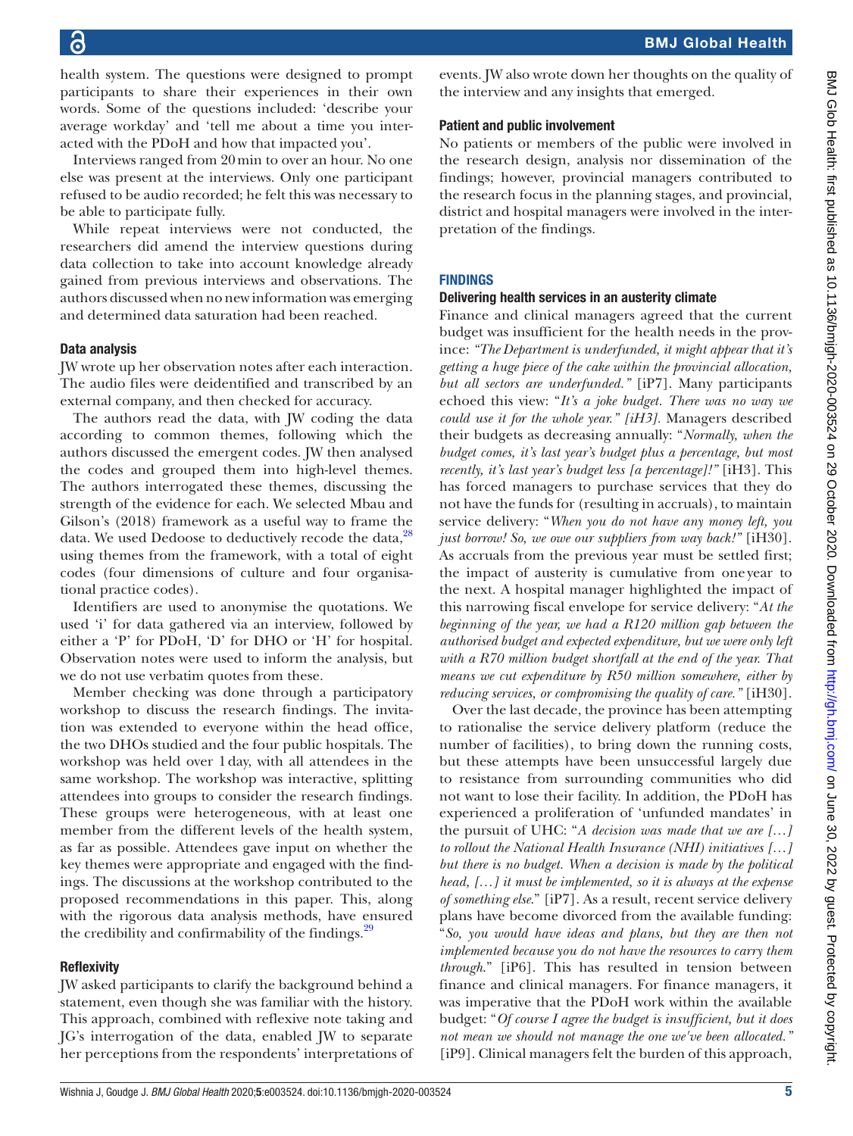health system. The questions were designed to prompt participants to share their experiences in their own words. Some of the questions included: 'describe your average workday' and 'tell me about a time you interacted with the PDoH and how that impacted you'.

Interviews ranged from 20min to over an hour. No one else was present at the interviews. Only one participant refused to be audio recorded; he felt this was necessary to be able to participate fully.

While repeat interviews were not conducted, the researchers did amend the interview questions during data collection to take into account knowledge already gained from previous interviews and observations. The authors discussed when no new information was emerging and determined data saturation had been reached.

#### Data analysis

JW wrote up her observation notes after each interaction. The audio files were deidentified and transcribed by an external company, and then checked for accuracy.

The authors read the data, with JW coding the data according to common themes, following which the authors discussed the emergent codes. JW then analysed the codes and grouped them into high-level themes. The authors interrogated these themes, discussing the strength of the evidence for each. We selected Mbau and Gilson's (2018) framework as a useful way to frame the data. We used Dedoose to deductively recode the data,<sup>[28](#page-8-26)</sup> using themes from the framework, with a total of eight codes (four dimensions of culture and four organisational practice codes).

Identifiers are used to anonymise the quotations. We used 'i' for data gathered via an interview, followed by either a 'P' for PDoH, 'D' for DHO or 'H' for hospital. Observation notes were used to inform the analysis, but we do not use verbatim quotes from these.

Member checking was done through a participatory workshop to discuss the research findings. The invitation was extended to everyone within the head office, the two DHOs studied and the four public hospitals. The workshop was held over 1day, with all attendees in the same workshop. The workshop was interactive, splitting attendees into groups to consider the research findings. These groups were heterogeneous, with at least one member from the different levels of the health system, as far as possible. Attendees gave input on whether the key themes were appropriate and engaged with the findings. The discussions at the workshop contributed to the proposed recommendations in this paper. This, along with the rigorous data analysis methods, have ensured the credibility and confirmability of the findings.<sup>[29](#page-8-27)</sup>

#### **Reflexivity**

JW asked participants to clarify the background behind a statement, even though she was familiar with the history. This approach, combined with reflexive note taking and JG's interrogation of the data, enabled JW to separate her perceptions from the respondents' interpretations of events. JW also wrote down her thoughts on the quality of the interview and any insights that emerged.

#### Patient and public involvement

No patients or members of the public were involved in the research design, analysis nor dissemination of the findings; however, provincial managers contributed to the research focus in the planning stages, and provincial, district and hospital managers were involved in the interpretation of the findings.

#### **FINDINGS**

#### Delivering health services in an austerity climate

Finance and clinical managers agreed that the current budget was insufficient for the health needs in the province: *"The Department is underfunded, it might appear that it's getting a huge piece of the cake within the provincial allocation, but all sectors are underfunded."* [iP7]. Many participants echoed this view: "*It's a joke budget. There was no way we could use it for the whole year." [iH3].* Managers described their budgets as decreasing annually: "*Normally, when the budget comes, it's last year's budget plus a percentage, but most recently, it's last year's budget less [a percentage]!"* [iH3]. This has forced managers to purchase services that they do not have the funds for (resulting in accruals), to maintain service delivery: "*When you do not have any money left, you just borrow! So, we owe our suppliers from way back!"* [iH30]. As accruals from the previous year must be settled first; the impact of austerity is cumulative from oneyear to the next. A hospital manager highlighted the impact of this narrowing fiscal envelope for service delivery: "*At the beginning of the year, we had a R120 million gap between the authorised budget and expected expenditure, but we were only left*  with a R70 million budget shortfall at the end of the year. That *means we cut expenditure by R50 million somewhere, either by reducing services, or compromising the quality of care."* [iH30].

Over the last decade, the province has been attempting to rationalise the service delivery platform (reduce the number of facilities), to bring down the running costs, but these attempts have been unsuccessful largely due to resistance from surrounding communities who did not want to lose their facility. In addition, the PDoH has experienced a proliferation of 'unfunded mandates' in the pursuit of UHC: "*A decision was made that we are […] to rollout the National Health Insurance (NHI) initiatives […] but there is no budget. When a decision is made by the political head, […] it must be implemented, so it is always at the expense of something else*." [iP7]. As a result, recent service delivery plans have become divorced from the available funding: "*So, you would have ideas and plans, but they are then not implemented because you do not have the resources to carry them through*." [iP6]. This has resulted in tension between finance and clinical managers. For finance managers, it was imperative that the PDoH work within the available budget: "*Of course I agree the budget is insufficient, but it does not mean we should not manage the one we've been allocated."* [iP9]. Clinical managers felt the burden of this approach,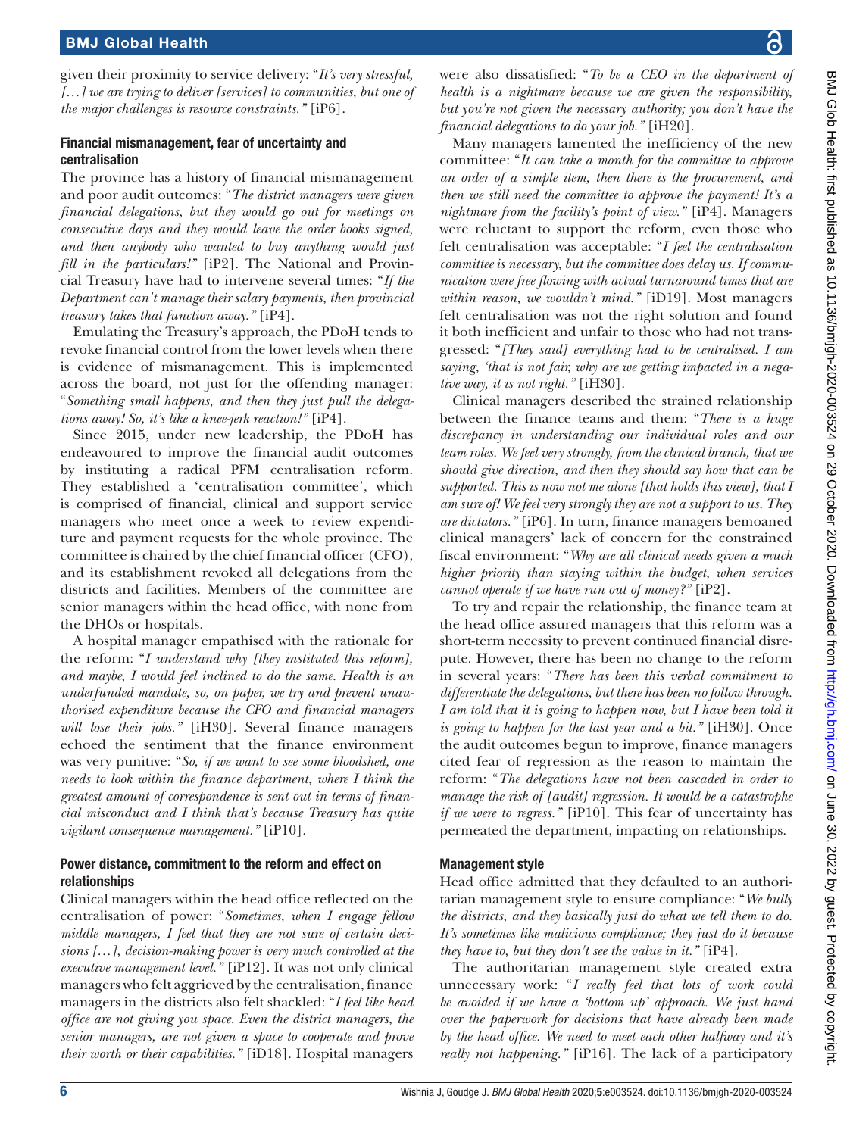given their proximity to service delivery: "*It's very stressful, […] we are trying to deliver [services] to communities, but one of the major challenges is resource constraints."* [iP6].

## Financial mismanagement, fear of uncertainty and centralisation

The province has a history of financial mismanagement and poor audit outcomes: "*The district managers were given financial delegations, but they would go out for meetings on consecutive days and they would leave the order books signed, and then anybody who wanted to buy anything would just fill in the particulars!"* [iP2]. The National and Provincial Treasury have had to intervene several times: "*If the Department can't manage their salary payments, then provincial treasury takes that function away."* [iP4].

Emulating the Treasury's approach, the PDoH tends to revoke financial control from the lower levels when there is evidence of mismanagement. This is implemented across the board, not just for the offending manager: "*Something small happens, and then they just pull the delegations away! So, it's like a knee-jerk reaction!"* [iP4].

Since 2015, under new leadership, the PDoH has endeavoured to improve the financial audit outcomes by instituting a radical PFM centralisation reform. They established a 'centralisation committee', which is comprised of financial, clinical and support service managers who meet once a week to review expenditure and payment requests for the whole province. The committee is chaired by the chief financial officer (CFO), and its establishment revoked all delegations from the districts and facilities. Members of the committee are senior managers within the head office, with none from the DHOs or hospitals.

A hospital manager empathised with the rationale for the reform: "*I understand why [they instituted this reform], and maybe, I would feel inclined to do the same. Health is an underfunded mandate, so, on paper, we try and prevent unauthorised expenditure because the CFO and financial managers will lose their jobs."* [iH30]. Several finance managers echoed the sentiment that the finance environment was very punitive: "*So, if we want to see some bloodshed, one needs to look within the finance department, where I think the greatest amount of correspondence is sent out in terms of financial misconduct and I think that's because Treasury has quite vigilant consequence management."* [iP10].

## Power distance, commitment to the reform and effect on relationships

Clinical managers within the head office reflected on the centralisation of power: "*Sometimes, when I engage fellow middle managers, I feel that they are not sure of certain decisions […], decision-making power is very much controlled at the executive management level."* [iP12]. It was not only clinical managers who felt aggrieved by the centralisation, finance managers in the districts also felt shackled: "*I feel like head office are not giving you space. Even the district managers, the senior managers, are not given a space to cooperate and prove their worth or their capabilities."* [iD18]. Hospital managers

were also dissatisfied: "*To be a CEO in the department of health is a nightmare because we are given the responsibility, but you're not given the necessary authority; you don't have the financial delegations to do your job."* [iH20]. Many managers lamented the inefficiency of the new committee: "*It can take a month for the committee to approve an order of a simple item, then there is the procurement, and then we still need the committee to approve the payment! It's a nightmare from the facility's point of view."* [iP4]. Managers were reluctant to support the reform, even those who felt centralisation was acceptable: "*I feel the centralisation committee is necessary, but the committee does delay us. If communication were free flowing with actual turnaround times that are within reason, we wouldn't mind."* [iD19]. Most managers

felt centralisation was not the right solution and found it both inefficient and unfair to those who had not transgressed: "*[They said] everything had to be centralised. I am saying, 'that is not fair, why are we getting impacted in a negative way, it is not right."* [iH30]. Clinical managers described the strained relationship between the finance teams and them: "*There is a huge discrepancy in understanding our individual roles and our team roles. We feel very strongly, from the clinical branch, that we* 

*should give direction, and then they should say how that can be supported. This is now not me alone [that holds this view], that I am sure of! We feel very strongly they are not a support to us. They are dictators."* [iP6]. In turn, finance managers bemoaned clinical managers' lack of concern for the constrained fiscal environment: "*Why are all clinical needs given a much higher priority than staying within the budget, when services cannot operate if we have run out of money?"* [iP2].

To try and repair the relationship, the finance team at the head office assured managers that this reform was a short-term necessity to prevent continued financial disrepute. However, there has been no change to the reform in several years: "*There has been this verbal commitment to differentiate the delegations, but there has been no follow through. I am told that it is going to happen now, but I have been told it is going to happen for the last year and a bit."* [iH30]. Once the audit outcomes begun to improve, finance managers cited fear of regression as the reason to maintain the reform: "*The delegations have not been cascaded in order to manage the risk of [audit] regression. It would be a catastrophe if we were to regress."* [iP10]. This fear of uncertainty has permeated the department, impacting on relationships.

## Management style

Head office admitted that they defaulted to an authoritarian management style to ensure compliance: "*We bully the districts, and they basically just do what we tell them to do. It's sometimes like malicious compliance; they just do it because they have to, but they don't see the value in it."* [iP4].

The authoritarian management style created extra unnecessary work: "*I really feel that lots of work could be avoided if we have a 'bottom up' approach. We just hand over the paperwork for decisions that have already been made by the head office. We need to meet each other halfway and it's really not happening."* [iP16]. The lack of a participatory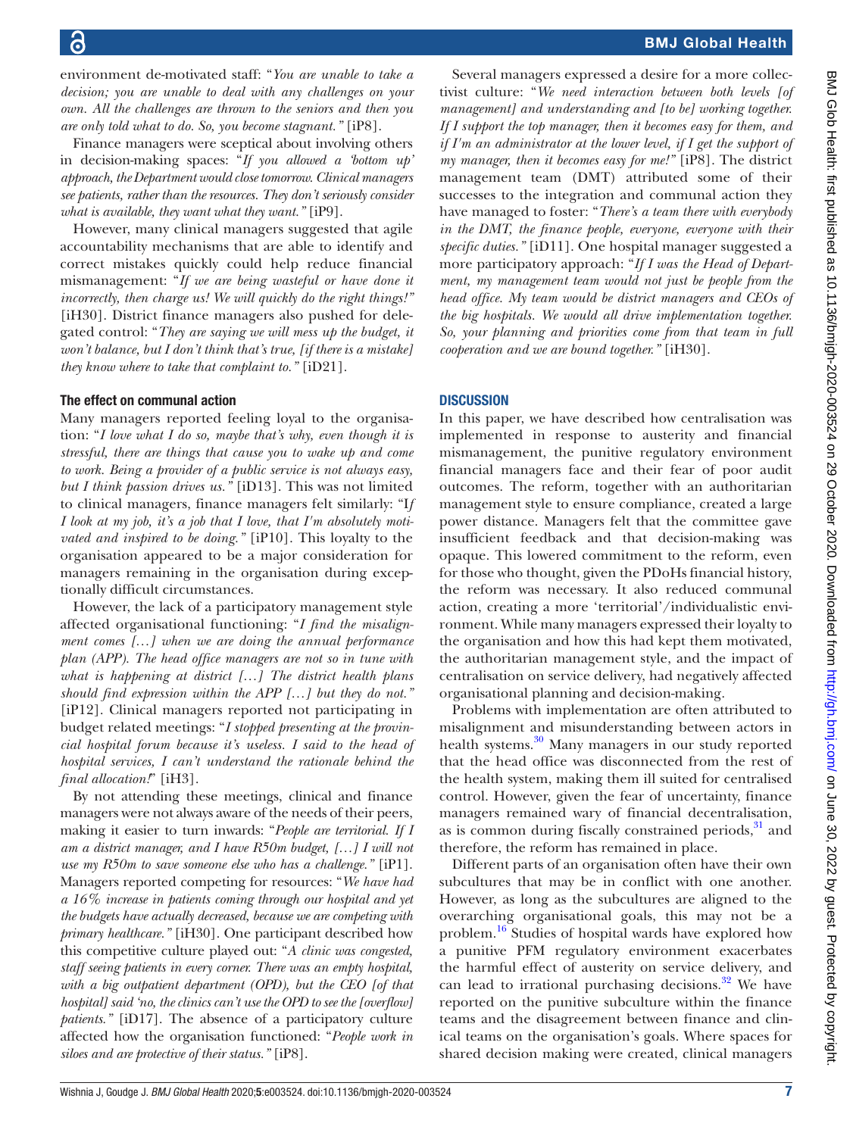environment de-motivated staff: "*You are unable to take a decision; you are unable to deal with any challenges on your own. All the challenges are thrown to the seniors and then you are only told what to do. So, you become stagnant."* [iP8].

Finance managers were sceptical about involving others in decision-making spaces: "*If you allowed a 'bottom up' approach, the Department would close tomorrow. Clinical managers see patients, rather than the resources. They don't seriously consider what is available, they want what they want."* [iP9].

However, many clinical managers suggested that agile accountability mechanisms that are able to identify and correct mistakes quickly could help reduce financial mismanagement: "*If we are being wasteful or have done it incorrectly, then charge us! We will quickly do the right things!"* [iH30]. District finance managers also pushed for delegated control: "*They are saying we will mess up the budget, it won't balance, but I don't think that's true, [if there is a mistake] they know where to take that complaint to."* [iD21].

#### The effect on communal action

Many managers reported feeling loyal to the organisation: "*I love what I do so, maybe that's why, even though it is stressful, there are things that cause you to wake up and come to work. Being a provider of a public service is not always easy, but I think passion drives us."* [iD13]. This was not limited to clinical managers, finance managers felt similarly: "I*f I look at my job, it's a job that I love, that I'm absolutely motivated and inspired to be doing."* [iP10]. This loyalty to the organisation appeared to be a major consideration for managers remaining in the organisation during exceptionally difficult circumstances.

However, the lack of a participatory management style affected organisational functioning: "*I find the misalignment comes […] when we are doing the annual performance plan (APP). The head office managers are not so in tune with what is happening at district […] The district health plans should find expression within the APP […] but they do not."* [iP12]. Clinical managers reported not participating in budget related meetings: "*I stopped presenting at the provincial hospital forum because it's useless. I said to the head of hospital services, I can't understand the rationale behind the final allocation!*" [iH3].

By not attending these meetings, clinical and finance managers were not always aware of the needs of their peers, making it easier to turn inwards: "*People are territorial. If I am a district manager, and I have R50m budget, […] I will not use my R50m to save someone else who has a challenge."* [iP1]. Managers reported competing for resources: "*We have had a 16% increase in patients coming through our hospital and yet the budgets have actually decreased, because we are competing with primary healthcare."* [iH30]. One participant described how this competitive culture played out: "*A clinic was congested, staff seeing patients in every corner. There was an empty hospital,*  with a big outpatient department (OPD), but the CEO [of that *hospital] said 'no, the clinics can't use the OPD to see the [overflow] patients."* [iD17]. The absence of a participatory culture affected how the organisation functioned: "*People work in siloes and are protective of their status."* [iP8].

Several managers expressed a desire for a more collectivist culture: "*We need interaction between both levels [of management] and understanding and [to be] working together. If I support the top manager, then it becomes easy for them, and if I'm an administrator at the lower level, if I get the support of my manager, then it becomes easy for me!"* [iP8]. The district management team (DMT) attributed some of their successes to the integration and communal action they have managed to foster: "*There's a team there with everybody in the DMT, the finance people, everyone, everyone with their specific duties."* [iD11]. One hospital manager suggested a more participatory approach: "*If I was the Head of Department, my management team would not just be people from the head office. My team would be district managers and CEOs of the big hospitals. We would all drive implementation together. So, your planning and priorities come from that team in full cooperation and we are bound together."* [iH30].

## **DISCUSSION**

In this paper, we have described how centralisation was implemented in response to austerity and financial mismanagement, the punitive regulatory environment financial managers face and their fear of poor audit outcomes. The reform, together with an authoritarian management style to ensure compliance, created a large power distance. Managers felt that the committee gave insufficient feedback and that decision-making was opaque. This lowered commitment to the reform, even for those who thought, given the PDoHs financial history, the reform was necessary. It also reduced communal action, creating a more 'territorial'/individualistic environment. While many managers expressed their loyalty to the organisation and how this had kept them motivated, the authoritarian management style, and the impact of centralisation on service delivery, had negatively affected organisational planning and decision-making.

Problems with implementation are often attributed to misalignment and misunderstanding between actors in health systems.<sup>30</sup> Many managers in our study reported that the head office was disconnected from the rest of the health system, making them ill suited for centralised control. However, given the fear of uncertainty, finance managers remained wary of financial decentralisation, as is common during fiscally constrained periods, $31$  and therefore, the reform has remained in place.

Different parts of an organisation often have their own subcultures that may be in conflict with one another. However, as long as the subcultures are aligned to the overarching organisational goals, this may not be a problem.<sup>16</sup> Studies of hospital wards have explored how a punitive PFM regulatory environment exacerbates the harmful effect of austerity on service delivery, and can lead to irrational purchasing decisions.<sup>32</sup> We have reported on the punitive subculture within the finance teams and the disagreement between finance and clinical teams on the organisation's goals. Where spaces for shared decision making were created, clinical managers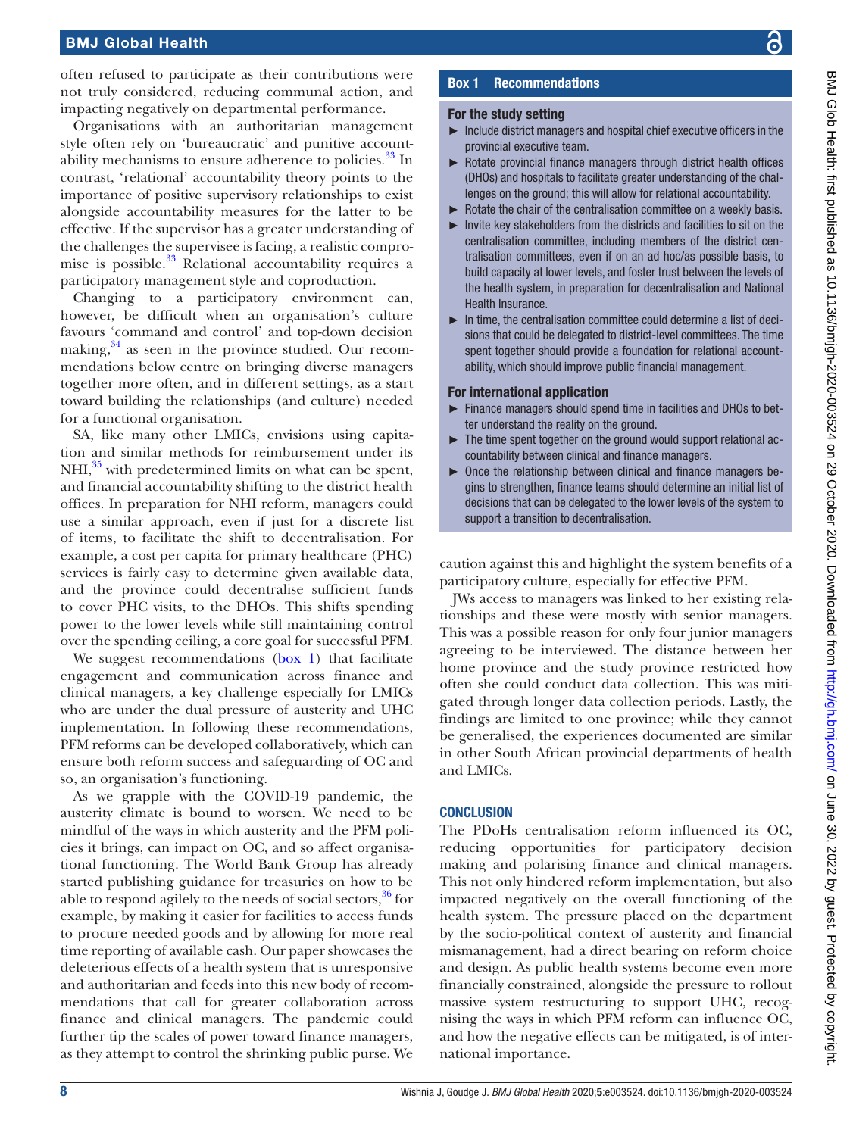often refused to participate as their contributions were not truly considered, reducing communal action, and impacting negatively on departmental performance.

Organisations with an authoritarian management style often rely on 'bureaucratic' and punitive accountability mechanisms to ensure adherence to policies. $33 \text{ In}$  $33 \text{ In}$ contrast, 'relational' accountability theory points to the importance of positive supervisory relationships to exist alongside accountability measures for the latter to be effective. If the supervisor has a greater understanding of the challenges the supervisee is facing, a realistic compromise is possible.<sup>33</sup> Relational accountability requires a participatory management style and coproduction.

Changing to a participatory environment can, however, be difficult when an organisation's culture favours 'command and control' and top-down decision making, $34$  as seen in the province studied. Our recommendations below centre on bringing diverse managers together more often, and in different settings, as a start toward building the relationships (and culture) needed for a functional organisation.

SA, like many other LMICs, envisions using capitation and similar methods for reimbursement under its NHI,<sup>35</sup> with predetermined limits on what can be spent, and financial accountability shifting to the district health offices. In preparation for NHI reform, managers could use a similar approach, even if just for a discrete list of items, to facilitate the shift to decentralisation. For example, a cost per capita for primary healthcare (PHC) services is fairly easy to determine given available data, and the province could decentralise sufficient funds to cover PHC visits, to the DHOs. This shifts spending power to the lower levels while still maintaining control over the spending ceiling, a core goal for successful PFM.

We suggest recommendations  $(box 1)$  $(box 1)$  $(box 1)$  that facilitate engagement and communication across finance and clinical managers, a key challenge especially for LMICs who are under the dual pressure of austerity and UHC implementation. In following these recommendations, PFM reforms can be developed collaboratively, which can ensure both reform success and safeguarding of OC and so, an organisation's functioning.

As we grapple with the COVID-19 pandemic, the austerity climate is bound to worsen. We need to be mindful of the ways in which austerity and the PFM policies it brings, can impact on OC, and so affect organisational functioning. The World Bank Group has already started publishing guidance for treasuries on how to be able to respond agilely to the needs of social sectors,  $36$  for example, by making it easier for facilities to access funds to procure needed goods and by allowing for more real time reporting of available cash. Our paper showcases the deleterious effects of a health system that is unresponsive and authoritarian and feeds into this new body of recommendations that call for greater collaboration across finance and clinical managers. The pandemic could further tip the scales of power toward finance managers, as they attempt to control the shrinking public purse. We

### Box 1 Recommendations

#### <span id="page-7-0"></span>For the study setting

- ► Include district managers and hospital chief executive officers in the provincial executive team.
- ► Rotate provincial finance managers through district health offices (DHOs) and hospitals to facilitate greater understanding of the challenges on the ground; this will allow for relational accountability.
- ► Rotate the chair of the centralisation committee on a weekly basis.
- ► Invite key stakeholders from the districts and facilities to sit on the centralisation committee, including members of the district centralisation committees, even if on an ad hoc/as possible basis, to build capacity at lower levels, and foster trust between the levels of the health system, in preparation for decentralisation and National Health Insurance.
- ► In time, the centralisation committee could determine a list of decisions that could be delegated to district-level committees. The time spent together should provide a foundation for relational accountability, which should improve public financial management.

#### For international application

- ► Finance managers should spend time in facilities and DHOs to better understand the reality on the ground.
- ► The time spent together on the ground would support relational accountability between clinical and finance managers.
- ► Once the relationship between clinical and finance managers begins to strengthen, finance teams should determine an initial list of decisions that can be delegated to the lower levels of the system to support a transition to decentralisation.

caution against this and highlight the system benefits of a participatory culture, especially for effective PFM.

JWs access to managers was linked to her existing relationships and these were mostly with senior managers. This was a possible reason for only four junior managers agreeing to be interviewed. The distance between her home province and the study province restricted how often she could conduct data collection. This was mitigated through longer data collection periods. Lastly, the findings are limited to one province; while they cannot be generalised, the experiences documented are similar in other South African provincial departments of health and LMICs.

#### **CONCLUSION**

The PDoHs centralisation reform influenced its OC, reducing opportunities for participatory decision making and polarising finance and clinical managers. This not only hindered reform implementation, but also impacted negatively on the overall functioning of the health system. The pressure placed on the department by the socio-political context of austerity and financial mismanagement, had a direct bearing on reform choice and design. As public health systems become even more financially constrained, alongside the pressure to rollout massive system restructuring to support UHC, recognising the ways in which PFM reform can influence OC, and how the negative effects can be mitigated, is of international importance.